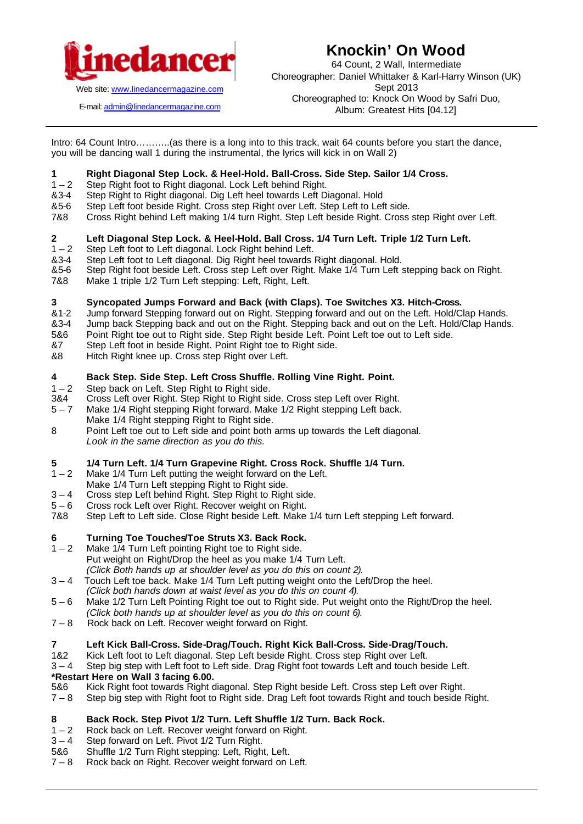

**Knockin' On Wood**

64 Count, 2 Wall, Intermediate Choreographer: Daniel Whittaker & Karl-Harry Winson (UK) Sept 2013 Choreographed to: Knock On Wood by Safri Duo, Album: Greatest Hits [04.12]

E-mail: admin@linedancermagazine.com

Intro: 64 Count Intro………..(as there is a long into to this track, wait 64 counts before you start the dance, you will be dancing wall 1 during the instrumental, the lyrics will kick in on Wall 2)

### **1 Right Diagonal Step Lock. & Heel-Hold. Ball-Cross. Side Step. Sailor 1/4 Cross.**

- 1 2 Step Right foot to Right diagonal. Lock Left behind Right.
- &3-4 Step Right to Right diagonal. Dig Left heel towards Left Diagonal. Hold
- &5-6 Step Left foot beside Right. Cross step Right over Left. Step Left to Left side.
- 7&8 Cross Right behind Left making 1/4 turn Right. Step Left beside Right. Cross step Right over Left.

### **2 Left Diagonal Step Lock. & Heel-Hold. Ball Cross. 1/4 Turn Left. Triple 1/2 Turn Left.**

- 1 2 Step Left foot to Left diagonal. Lock Right behind Left.
- &3-4 Step Left foot to Left diagonal. Dig Right heel towards Right diagonal. Hold.
- &5-6 Step Right foot beside Left. Cross step Left over Right. Make 1/4 Turn Left stepping back on Right.
- 7&8 Make 1 triple 1/2 Turn Left stepping: Left, Right, Left.

### **3 Syncopated Jumps Forward and Back (with Claps). Toe Switches X3. Hitch-Cross.**

- &1-2 Jump forward Stepping forward out on Right. Stepping forward and out on the Left. Hold/Clap Hands.
- &3-4 Jump back Stepping back and out on the Right. Stepping back and out on the Left. Hold/Clap Hands.
- 5&6 Point Right toe out to Right side. Step Right beside Left. Point Left toe out to Left side.
- &7 Step Left foot in beside Right. Point Right toe to Right side.
- &8 Hitch Right knee up. Cross step Right over Left.

### **4 Back Step. Side Step. Left Cross Shuffle. Rolling Vine Right. Point.**

- 1 2 Step back on Left. Step Right to Right side.
- 3&4 Cross Left over Right. Step Right to Right side. Cross step Left over Right.
- 5 7 Make 1/4 Right stepping Right forward. Make 1/2 Right stepping Left back. Make 1/4 Right stepping Right to Right side.
- 8 Point Left toe out to Left side and point both arms up towards the Left diagonal. *Look in the same direction as you do this.*

# **5 1/4 Turn Left. 1/4 Turn Grapevine Right. Cross Rock. Shuffle 1/4 Turn.**

- Make 1/4 Turn Left putting the weight forward on the Left.
- Make 1/4 Turn Left stepping Right to Right side.
- 3 4 Cross step Left behind Right. Step Right to Right side.
- 5 6 Cross rock Left over Right. Recover weight on Right.
- 7&8 Step Left to Left side. Close Right beside Left. Make 1/4 turn Left stepping Left forward.

## **6 Turning Toe Touches/Toe Struts X3. Back Rock.**

- Make 1/4 Turn Left pointing Right toe to Right side. Put weight on Right/Drop the heel as you make 1/4 Turn Left. *(Click Both hands up at shoulder level as you do this on count 2).*
- 3 4 Touch Left toe back. Make 1/4 Turn Left putting weight onto the Left/Drop the heel.
- *(Click both hands down at waist level as you do this on count 4).*
- 5 6 Make 1/2 Turn Left Pointing Right toe out to Right side. Put weight onto the Right/Drop the heel. *(Click both hands up at shoulder level as you do this on count 6).*
- 7 8 Rock back on Left. Recover weight forward on Right.

### **7 Left Kick Ball-Cross. Side-Drag/Touch. Right Kick Ball-Cross. Side-Drag/Touch.**

- 1&2 Kick Left foot to Left diagonal. Step Left beside Right. Cross step Right over Left.
- 3 4 Step big step with Left foot to Left side. Drag Right foot towards Left and touch beside Left.

### **\*Restart Here on Wall 3 facing 6.00.**

- 5&6 Kick Right foot towards Right diagonal. Step Right beside Left. Cross step Left over Right.
- 7 8 Step big step with Right foot to Right side. Drag Left foot towards Right and touch beside Right.

### **8 Back Rock. Step Pivot 1/2 Turn. Left Shuffle 1/2 Turn. Back Rock.**

- 1 2 Rock back on Left. Recover weight forward on Right.
- 3 4 Step forward on Left. Pivot 1/2 Turn Right.
- 5&6 Shuffle 1/2 Turn Right stepping: Left, Right, Left.
- 7 8 Rock back on Right. Recover weight forward on Left.